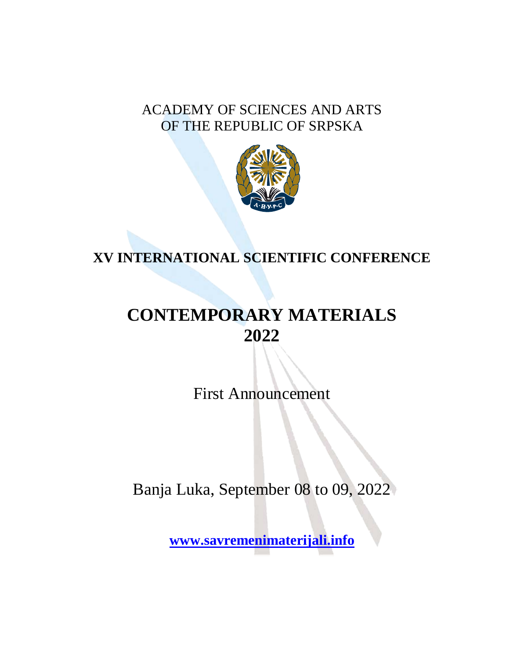### ACADEMY OF SCIENCES AND ARTS OF THE REPUBLIC OF SRPSKA



# **XV INTERNATIONAL SCIENTIFIC CONFERENCE**

# **CONTEMPORARY MATERIALS 2022**

First Announcement

Banja Luka, September 08 to 09, 2022

**[www.savremenimaterijali.info](http://www.savremenimaterijali.info/)**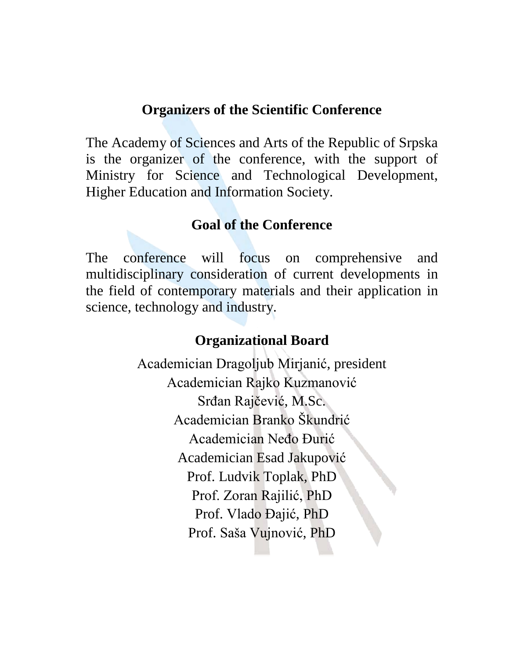#### **Organizers of the Scientific Conference**

The Academy of Sciences and Arts of the Republic of Srpska is the organizer of the conference, with the support of Ministry for Science and Technological Development, Higher Education and Information Society.

#### **Goal of the Conference**

The conference will focus on comprehensive and multidisciplinary consideration of current developments in the field of contemporary materials and their application in science, technology and industry.

### **Organizational Board**

Academician Dragoljub Mirjanić, president Academician Rajko Kuzmanović Srđan Rajčević, M.Sc. Academician Branko Škundrić Academician Neđo Đurić Academician Esad Jakupović Prof. Ludvik Toplak, PhD Prof. Zoran Rajilić, PhD Prof. Vlado Đajić, PhD Prof. Saša Vujnović, PhD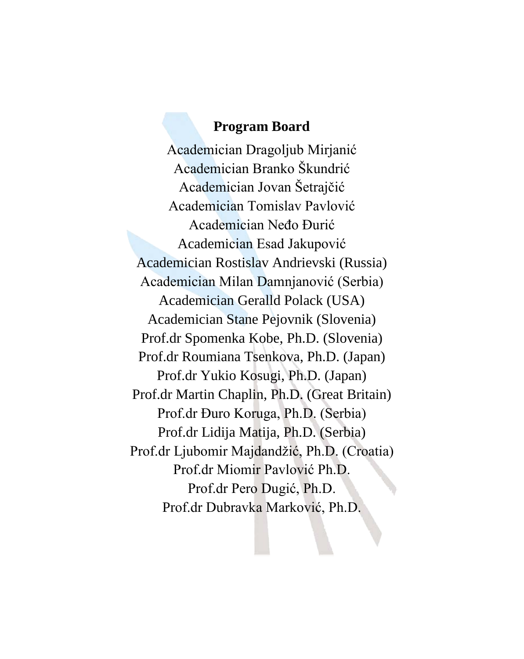### **Program Board**

Academician Dragoljub Mirjanić Academician Branko Škundrić Academician Jovan Šetrajčić Academician Tomislav Pavlović Academician Neđo Đurić Academician Esad Jakupović Academician Rostislav Andrievski (Russia) Academician Milan Damnjanović (Serbia) Academician Geralld Polack (USA) Academician Stane Pejovnik (Slovenia) Prof.dr Spomenka Kobe, Ph.D. (Slovenia) Prof.dr Roumiana Tsenkova, Ph.D. (Japan) Prof.dr Yukio Kosugi, Ph.D. (Japan) Prof.dr Martin Chaplin, Ph.D. (Great Britain) Prof.dr Đuro Koruga, Ph.D. (Serbia) Prof.dr Lidija Matija, Ph.D. (Serbia) Prof.dr Ljubomir Majdandžić, Ph.D. (Croatia) Prof.dr Miomir Pavlović Ph.D. Prof.dr Pero Dugić, Ph.D. Prof.dr Dubravka Marković, Ph.D.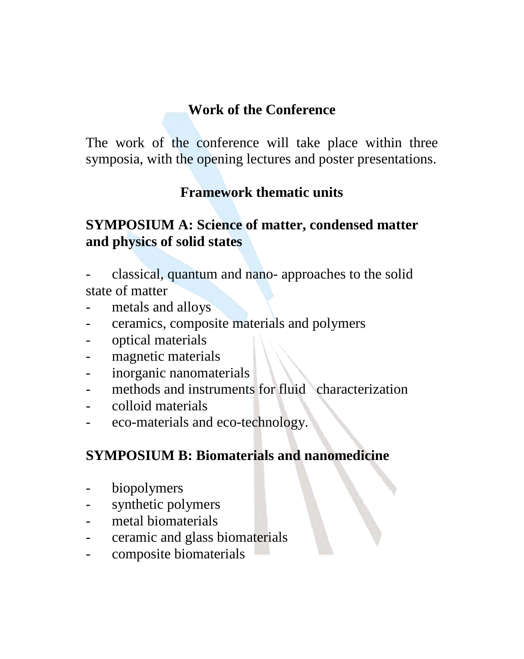# **Work of the Conference**

The work of the conference will take place within three symposia, with the opening lectures and poster presentations.

# **Framework thematic units**

# **SYMPOSIUM A: Science of matter, condensed matter and physics of solid states**

- classical, quantum and nano- approaches to the solid state of matter
- metals and alloys
- ceramics, composite materials and polymers
- optical materials
- magnetic materials
- inorganic nanomaterials
- methods and instruments for fluid characterization
- colloid materials
- eco-materials and eco-technology.

# **SYMPOSIUM B: Biomaterials and nanomedicine**

- biopolymers
- synthetic polymers
- metal biomaterials
- ceramic and glass biomaterials
- composite biomaterials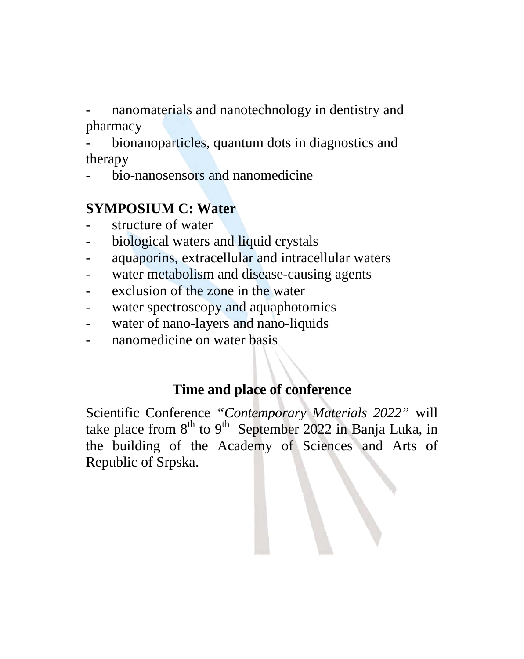nanomaterials and nanotechnology in dentistry and pharmacy

bionanoparticles, quantum dots in diagnostics and therapy

- bio-nanosensors and nanomedicine

# **SYMPOSIUM C: Water**

- structure of water
- biological waters and liquid crystals
- aquaporins, extracellular and intracellular waters
- water metabolism and disease-causing agents
- exclusion of the zone in the water
- water spectroscopy and aquaphotomics
- water of nano-layers and nano-liquids
- nanomedicine on water basis

# **Time and place of conference**

Scientific Conference *"Contemporary Materials 2022"* will take place from  $8<sup>th</sup>$  to  $9<sup>th</sup>$  September 2022 in Banja Luka, in the building of the Academy of Sciences and Arts of Republic of Srpska.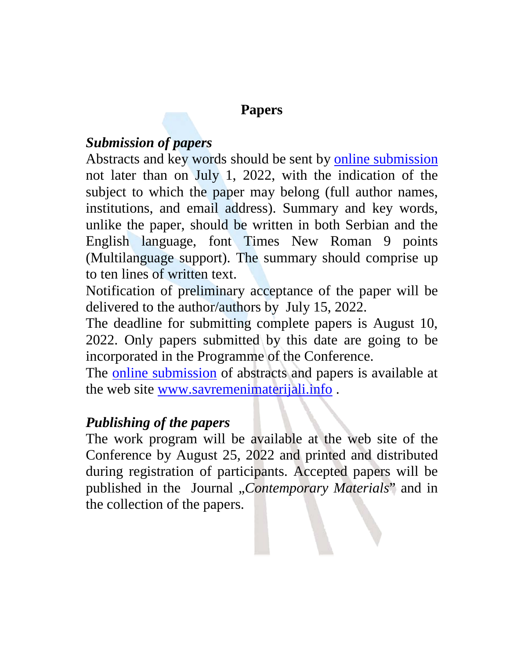### **Papers**

### *Submission of papers*

Abstracts and key words should be sent by [online submission](http://savremenimaterijali.info/index.php?idsek=49&jezik=7) not later than on July 1, 2022, with the indication of the subject to which the paper may belong (full author names, institutions, and email address). Summary and key words, unlike the paper, should be written in both Serbian and the English language, font Times New Roman 9 points (Multilanguage support). The summary should comprise up to ten lines of written text.

Notification of preliminary acceptance of the paper will be delivered to the author/authors by July 15, 2022.

The deadline for submitting complete papers is August 10, 2022. Only papers submitted by this date are going to be incorporated in the Programme of the Conference.

The [online submission](http://savremenimaterijali.info/index.php?idsek=49&jezik=7) of abstracts and papers is available at the web site [www.savremenimaterijali.info](http://www.savremenimaterijali.info/) .

### *Publishing of the papers*

The work program will be available at the web site of the Conference by August 25, 2022 and printed and distributed during registration of participants. Accepted papers will be published in the Journal "*Contemporary Materials*" and in the collection of the papers.